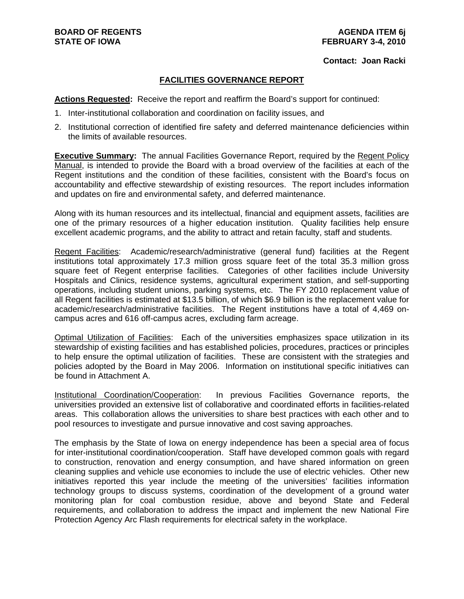#### **Contact: Joan Racki**

#### **FACILITIES GOVERNANCE REPORT**

**Actions Requested:** Receive the report and reaffirm the Board's support for continued:

- 1. Inter-institutional collaboration and coordination on facility issues, and
- 2. Institutional correction of identified fire safety and deferred maintenance deficiencies within the limits of available resources.

**Executive Summary:** The annual Facilities Governance Report, required by the Regent Policy Manual, is intended to provide the Board with a broad overview of the facilities at each of the Regent institutions and the condition of these facilities, consistent with the Board's focus on accountability and effective stewardship of existing resources. The report includes information and updates on fire and environmental safety, and deferred maintenance.

Along with its human resources and its intellectual, financial and equipment assets, facilities are one of the primary resources of a higher education institution. Quality facilities help ensure excellent academic programs, and the ability to attract and retain faculty, staff and students.

Regent Facilities: Academic/research/administrative (general fund) facilities at the Regent institutions total approximately 17.3 million gross square feet of the total 35.3 million gross square feet of Regent enterprise facilities. Categories of other facilities include University Hospitals and Clinics, residence systems, agricultural experiment station, and self-supporting operations, including student unions, parking systems, etc. The FY 2010 replacement value of all Regent facilities is estimated at \$13.5 billion, of which \$6.9 billion is the replacement value for academic/research/administrative facilities. The Regent institutions have a total of 4,469 oncampus acres and 616 off-campus acres, excluding farm acreage.

Optimal Utilization of Facilities: Each of the universities emphasizes space utilization in its stewardship of existing facilities and has established policies, procedures, practices or principles to help ensure the optimal utilization of facilities. These are consistent with the strategies and policies adopted by the Board in May 2006. Information on institutional specific initiatives can be found in Attachment A.

Institutional Coordination/Cooperation: In previous Facilities Governance reports, the universities provided an extensive list of collaborative and coordinated efforts in facilities-related areas. This collaboration allows the universities to share best practices with each other and to pool resources to investigate and pursue innovative and cost saving approaches.

The emphasis by the State of Iowa on energy independence has been a special area of focus for inter-institutional coordination/cooperation. Staff have developed common goals with regard to construction, renovation and energy consumption, and have shared information on green cleaning supplies and vehicle use economies to include the use of electric vehicles. Other new initiatives reported this year include the meeting of the universities' facilities information technology groups to discuss systems, coordination of the development of a ground water monitoring plan for coal combustion residue, above and beyond State and Federal requirements, and collaboration to address the impact and implement the new National Fire Protection Agency Arc Flash requirements for electrical safety in the workplace.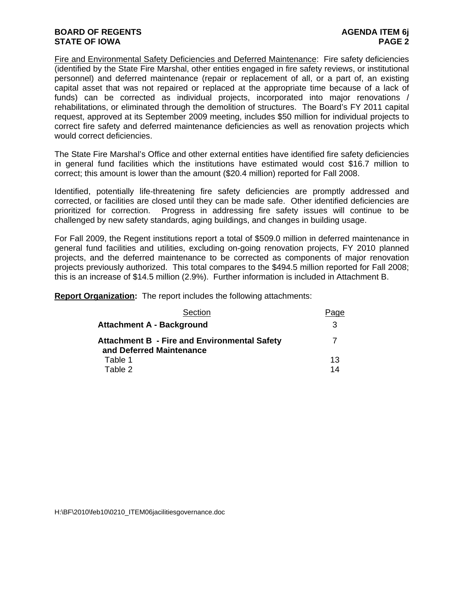#### **BOARD OF REGENTS AGENUS AGENDA ITEM 6j STATE OF IOWA** PAGE 2

Fire and Environmental Safety Deficiencies and Deferred Maintenance: Fire safety deficiencies (identified by the State Fire Marshal, other entities engaged in fire safety reviews, or institutional personnel) and deferred maintenance (repair or replacement of all, or a part of, an existing capital asset that was not repaired or replaced at the appropriate time because of a lack of funds) can be corrected as individual projects, incorporated into major renovations / rehabilitations, or eliminated through the demolition of structures. The Board's FY 2011 capital request, approved at its September 2009 meeting, includes \$50 million for individual projects to correct fire safety and deferred maintenance deficiencies as well as renovation projects which would correct deficiencies.

The State Fire Marshal's Office and other external entities have identified fire safety deficiencies in general fund facilities which the institutions have estimated would cost \$16.7 million to correct; this amount is lower than the amount (\$20.4 million) reported for Fall 2008.

Identified, potentially life-threatening fire safety deficiencies are promptly addressed and corrected, or facilities are closed until they can be made safe. Other identified deficiencies are prioritized for correction. Progress in addressing fire safety issues will continue to be challenged by new safety standards, aging buildings, and changes in building usage.

For Fall 2009, the Regent institutions report a total of \$509.0 million in deferred maintenance in general fund facilities and utilities, excluding on-going renovation projects, FY 2010 planned projects, and the deferred maintenance to be corrected as components of major renovation projects previously authorized. This total compares to the \$494.5 million reported for Fall 2008; this is an increase of \$14.5 million (2.9%). Further information is included in Attachment B.

**Report Organization:** The report includes the following attachments:

| Section                                                                         | Page |
|---------------------------------------------------------------------------------|------|
| <b>Attachment A - Background</b>                                                | 3    |
| <b>Attachment B - Fire and Environmental Safety</b><br>and Deferred Maintenance | 7    |
| Table 1                                                                         | 13   |
| Table 2                                                                         | 14   |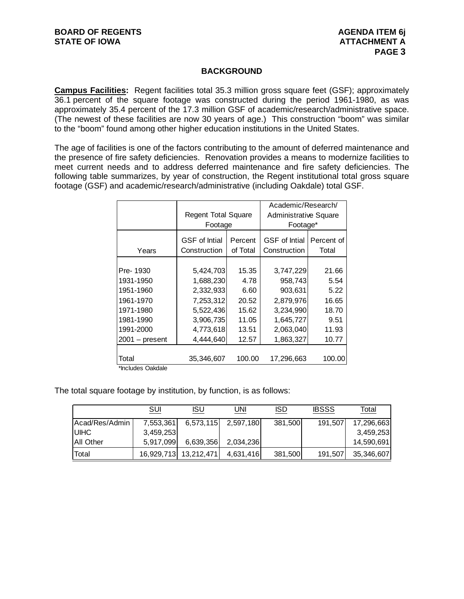#### **BACKGROUND**

**Campus Facilities:** Regent facilities total 35.3 million gross square feet (GSF); approximately 36.1 percent of the square footage was constructed during the period 1961-1980, as was approximately 35.4 percent of the 17.3 million GSF of academic/research/administrative space. (The newest of these facilities are now 30 years of age.) This construction "boom" was similar to the "boom" found among other higher education institutions in the United States.

The age of facilities is one of the factors contributing to the amount of deferred maintenance and the presence of fire safety deficiencies. Renovation provides a means to modernize facilities to meet current needs and to address deferred maintenance and fire safety deficiencies. The following table summarizes, by year of construction, the Regent institutional total gross square footage (GSF) and academic/research/administrative (including Oakdale) total GSF.

|                  |                                      |                     | Academic/Research/                   |                     |
|------------------|--------------------------------------|---------------------|--------------------------------------|---------------------|
|                  | <b>Regent Total Square</b>           |                     | <b>Administrative Square</b>         |                     |
|                  | Footage                              |                     | Footage*                             |                     |
| Years            | <b>GSF</b> of Intial<br>Construction | Percent<br>of Total | <b>GSF</b> of Intial<br>Construction | Percent of<br>Total |
|                  |                                      |                     |                                      |                     |
| Pre-1930         | 5,424,703                            | 15.35               | 3,747,229                            | 21.66               |
| 1931-1950        | 1,688,230                            | 4.78                | 958,743                              | 5.54                |
| 1951-1960        | 2,332,933                            | 6.60                | 903,631                              | 5.22                |
| 1961-1970        | 7,253,312                            | 20.52               | 2,879,976                            | 16.65               |
| 1971-1980        | 5,522,436                            | 15.62               | 3,234,990                            | 18.70               |
| 1981-1990        | 3,906,735                            | 11.05               | 1,645,727                            | 9.51                |
| 1991-2000        | 4,773,618                            | 13.51               | 2,063,040                            | 11.93               |
| $2001 - present$ | 4,444,640                            | 12.57               | 1,863,327                            | 10.77               |
|                  |                                      |                     |                                      |                     |
| Total<br>.       | 35,346,607                           | 100.00              | 17,296,663                           | 100.00              |

\*Includes Oakdale

The total square footage by institution, by function, is as follows:

|                  | SUI       | ISU                   | JNI       | <b>ISD</b> | <b>IBSSS</b> | Total      |
|------------------|-----------|-----------------------|-----------|------------|--------------|------------|
| Acad/Res/Admin   | 7,553,361 | 6,573,115             | 2,597,180 | 381,500    | 191,507      | 17,296,663 |
| <b>IUIHC</b>     | 3,459,253 |                       |           |            |              | 3,459,253  |
| <b>All Other</b> | 5,917,099 | 6,639,356             | 2,034,236 |            |              | 14,590,691 |
| Total            |           | 16,929,713 13,212,471 | 4,631,416 | 381,500    | 191,507      | 35,346,607 |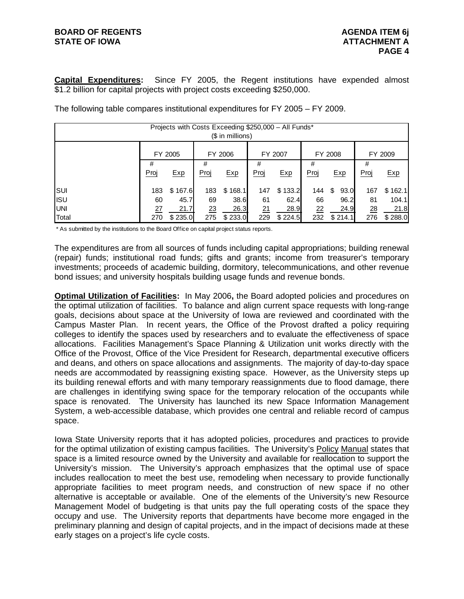#### **BOARD OF REGENTS AGENUS AGENDA ITEM 6j STATE OF IOWA ATTACHMENT A**

**Capital Expenditures:** Since FY 2005, the Regent institutions have expended almost \$1.2 billion for capital projects with project costs exceeding \$250,000.

|            |      |         |      | $($$ in millions) |      | Projects with Costs Exceeding \$250,000 - All Funds* |      |            |      |         |
|------------|------|---------|------|-------------------|------|------------------------------------------------------|------|------------|------|---------|
|            |      | FY 2005 |      | FY 2006           |      | FY 2007                                              |      | FY 2008    |      | FY 2009 |
|            | #    |         | #    |                   | #    |                                                      | #    |            | #    |         |
|            | Proj | Exp     | Proj | Exp               | Proj | Exp                                                  | Proj | Exp        | Proj | Exp     |
| SUI        | 183  | \$167.6 | 183  | \$168.1           | 147  | \$133.2                                              | 144  | \$<br>93.0 | 167  | \$162.1 |
| <b>ISU</b> | 60   | 45.7    | 69   | 38.6              | 61   | 62.4                                                 | 66   | 96.2       | 81   | 104.1   |
| <b>UNI</b> | 27   | 21.7    | 23   | 26.3              | 21   | 28.9                                                 | 22   | 24.9       | 28   | 21.8    |
| Total      | 270  | \$235.0 | 275  | \$233.0           | 229  | \$224.5                                              | 232  | \$214.1    | 276  | \$288.0 |

The following table compares institutional expenditures for FY 2005 – FY 2009.

\* As submitted by the institutions to the Board Office on capital project status reports.

The expenditures are from all sources of funds including capital appropriations; building renewal (repair) funds; institutional road funds; gifts and grants; income from treasurer's temporary investments; proceeds of academic building, dormitory, telecommunications, and other revenue bond issues; and university hospitals building usage funds and revenue bonds.

**Optimal Utilization of Facilities:** In May 2006**,** the Board adopted policies and procedures on the optimal utilization of facilities. To balance and align current space requests with long-range goals, decisions about space at the University of Iowa are reviewed and coordinated with the Campus Master Plan. In recent years, the Office of the Provost drafted a policy requiring colleges to identify the spaces used by researchers and to evaluate the effectiveness of space allocations. Facilities Management's Space Planning & Utilization unit works directly with the Office of the Provost, Office of the Vice President for Research, departmental executive officers and deans, and others on space allocations and assignments. The majority of day-to-day space needs are accommodated by reassigning existing space. However, as the University steps up its building renewal efforts and with many temporary reassignments due to flood damage, there are challenges in identifying swing space for the temporary relocation of the occupants while space is renovated. The University has launched its new Space Information Management System, a web-accessible database, which provides one central and reliable record of campus space.

Iowa State University reports that it has adopted policies, procedures and practices to provide for the optimal utilization of existing campus facilities. The University's Policy Manual states that space is a limited resource owned by the University and available for reallocation to support the University's mission. The University's approach emphasizes that the optimal use of space includes reallocation to meet the best use, remodeling when necessary to provide functionally appropriate facilities to meet program needs, and construction of new space if no other alternative is acceptable or available. One of the elements of the University's new Resource Management Model of budgeting is that units pay the full operating costs of the space they occupy and use. The University reports that departments have become more engaged in the preliminary planning and design of capital projects, and in the impact of decisions made at these early stages on a project's life cycle costs.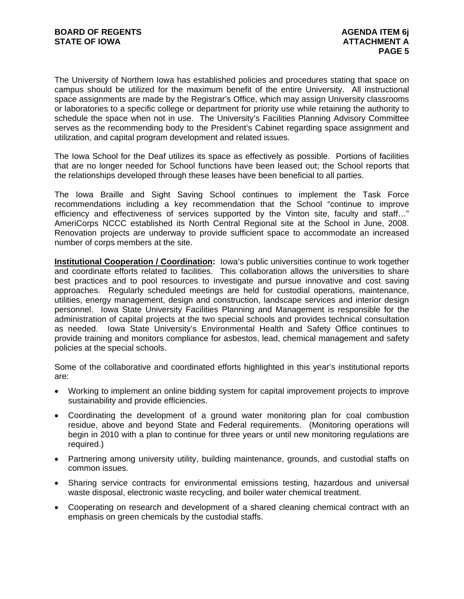The University of Northern Iowa has established policies and procedures stating that space on campus should be utilized for the maximum benefit of the entire University. All instructional space assignments are made by the Registrar's Office, which may assign University classrooms or laboratories to a specific college or department for priority use while retaining the authority to schedule the space when not in use. The University's Facilities Planning Advisory Committee serves as the recommending body to the President's Cabinet regarding space assignment and utilization, and capital program development and related issues.

The Iowa School for the Deaf utilizes its space as effectively as possible. Portions of facilities that are no longer needed for School functions have been leased out; the School reports that the relationships developed through these leases have been beneficial to all parties.

The Iowa Braille and Sight Saving School continues to implement the Task Force recommendations including a key recommendation that the School "continue to improve efficiency and effectiveness of services supported by the Vinton site, faculty and staff…" AmeriCorps NCCC established its North Central Regional site at the School in June, 2008. Renovation projects are underway to provide sufficient space to accommodate an increased number of corps members at the site.

**Institutional Cooperation / Coordination:** Iowa's public universities continue to work together and coordinate efforts related to facilities. This collaboration allows the universities to share best practices and to pool resources to investigate and pursue innovative and cost saving approaches. Regularly scheduled meetings are held for custodial operations, maintenance, utilities, energy management, design and construction, landscape services and interior design personnel. Iowa State University Facilities Planning and Management is responsible for the administration of capital projects at the two special schools and provides technical consultation as needed. Iowa State University's Environmental Health and Safety Office continues to provide training and monitors compliance for asbestos, lead, chemical management and safety policies at the special schools.

Some of the collaborative and coordinated efforts highlighted in this year's institutional reports are:

- Working to implement an online bidding system for capital improvement projects to improve sustainability and provide efficiencies.
- Coordinating the development of a ground water monitoring plan for coal combustion residue, above and beyond State and Federal requirements. (Monitoring operations will begin in 2010 with a plan to continue for three years or until new monitoring regulations are required.)
- Partnering among university utility, building maintenance, grounds, and custodial staffs on common issues.
- Sharing service contracts for environmental emissions testing, hazardous and universal waste disposal, electronic waste recycling, and boiler water chemical treatment.
- Cooperating on research and development of a shared cleaning chemical contract with an emphasis on green chemicals by the custodial staffs.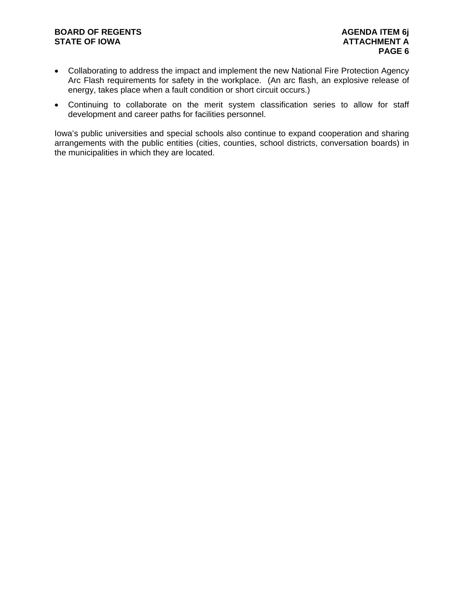# **BOARD OF REGENTS AGENDA ITEM 6j**

- Collaborating to address the impact and implement the new National Fire Protection Agency Arc Flash requirements for safety in the workplace. (An arc flash, an explosive release of energy, takes place when a fault condition or short circuit occurs.)
- Continuing to collaborate on the merit system classification series to allow for staff development and career paths for facilities personnel.

Iowa's public universities and special schools also continue to expand cooperation and sharing arrangements with the public entities (cities, counties, school districts, conversation boards) in the municipalities in which they are located.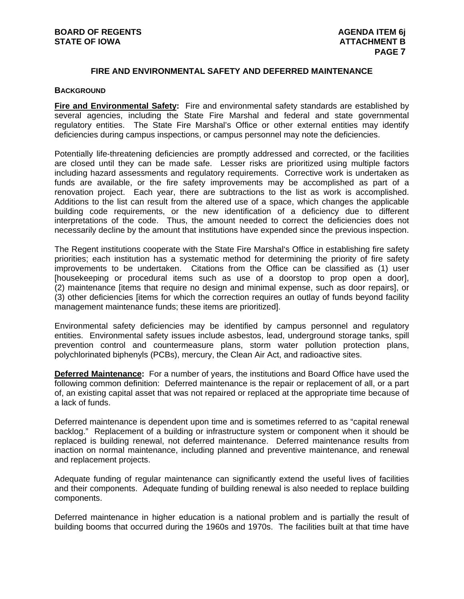#### **FIRE AND ENVIRONMENTAL SAFETY AND DEFERRED MAINTENANCE**

#### **BACKGROUND**

**Fire and Environmental Safety:** Fire and environmental safety standards are established by several agencies, including the State Fire Marshal and federal and state governmental regulatory entities. The State Fire Marshal's Office or other external entities may identify deficiencies during campus inspections, or campus personnel may note the deficiencies.

Potentially life-threatening deficiencies are promptly addressed and corrected, or the facilities are closed until they can be made safe. Lesser risks are prioritized using multiple factors including hazard assessments and regulatory requirements. Corrective work is undertaken as funds are available, or the fire safety improvements may be accomplished as part of a renovation project. Each year, there are subtractions to the list as work is accomplished. Additions to the list can result from the altered use of a space, which changes the applicable building code requirements, or the new identification of a deficiency due to different interpretations of the code. Thus, the amount needed to correct the deficiencies does not necessarily decline by the amount that institutions have expended since the previous inspection.

The Regent institutions cooperate with the State Fire Marshal's Office in establishing fire safety priorities; each institution has a systematic method for determining the priority of fire safety improvements to be undertaken. Citations from the Office can be classified as (1) user [housekeeping or procedural items such as use of a doorstop to prop open a door], (2) maintenance [items that require no design and minimal expense, such as door repairs], or (3) other deficiencies [items for which the correction requires an outlay of funds beyond facility management maintenance funds; these items are prioritized].

Environmental safety deficiencies may be identified by campus personnel and regulatory entities. Environmental safety issues include asbestos, lead, underground storage tanks, spill prevention control and countermeasure plans, storm water pollution protection plans, polychlorinated biphenyls (PCBs), mercury, the Clean Air Act, and radioactive sites.

**Deferred Maintenance:** For a number of years, the institutions and Board Office have used the following common definition: Deferred maintenance is the repair or replacement of all, or a part of, an existing capital asset that was not repaired or replaced at the appropriate time because of a lack of funds.

Deferred maintenance is dependent upon time and is sometimes referred to as "capital renewal backlog." Replacement of a building or infrastructure system or component when it should be replaced is building renewal, not deferred maintenance. Deferred maintenance results from inaction on normal maintenance, including planned and preventive maintenance, and renewal and replacement projects.

Adequate funding of regular maintenance can significantly extend the useful lives of facilities and their components. Adequate funding of building renewal is also needed to replace building components.

Deferred maintenance in higher education is a national problem and is partially the result of building booms that occurred during the 1960s and 1970s. The facilities built at that time have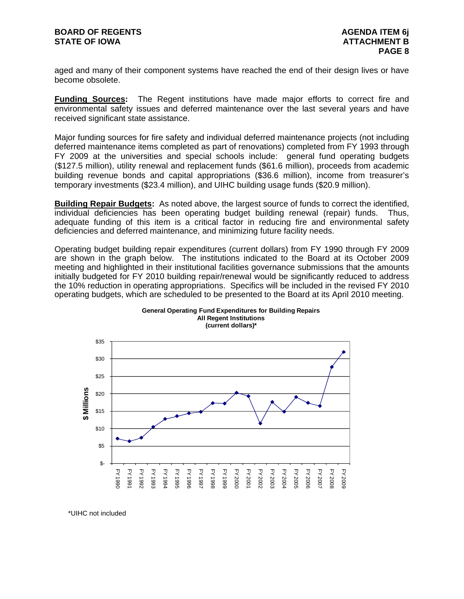aged and many of their component systems have reached the end of their design lives or have become obsolete.

**Funding Sources:** The Regent institutions have made major efforts to correct fire and environmental safety issues and deferred maintenance over the last several years and have received significant state assistance.

Major funding sources for fire safety and individual deferred maintenance projects (not including deferred maintenance items completed as part of renovations) completed from FY 1993 through FY 2009 at the universities and special schools include: general fund operating budgets (\$127.5 million), utility renewal and replacement funds (\$61.6 million), proceeds from academic building revenue bonds and capital appropriations (\$36.6 million), income from treasurer's temporary investments (\$23.4 million), and UIHC building usage funds (\$20.9 million).

**Building Repair Budgets:** As noted above, the largest source of funds to correct the identified. individual deficiencies has been operating budget building renewal (repair) funds. Thus, adequate funding of this item is a critical factor in reducing fire and environmental safety deficiencies and deferred maintenance, and minimizing future facility needs.

Operating budget building repair expenditures (current dollars) from FY 1990 through FY 2009 are shown in the graph below. The institutions indicated to the Board at its October 2009 meeting and highlighted in their institutional facilities governance submissions that the amounts initially budgeted for FY 2010 building repair/renewal would be significantly reduced to address the 10% reduction in operating appropriations. Specifics will be included in the revised FY 2010 operating budgets, which are scheduled to be presented to the Board at its April 2010 meeting.



**General Operating Fund Expenditures for Building Repairs All Regent Institutions**

\*UIHC not included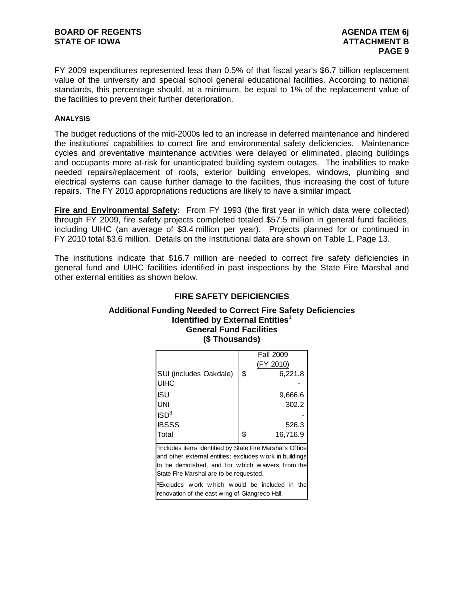FY 2009 expenditures represented less than 0.5% of that fiscal year's \$6.7 billion replacement value of the university and special school general educational facilities. According to national standards, this percentage should, at a minimum, be equal to 1% of the replacement value of the facilities to prevent their further deterioration.

#### **ANALYSIS**

The budget reductions of the mid-2000s led to an increase in deferred maintenance and hindered the institutions' capabilities to correct fire and environmental safety deficiencies. Maintenance cycles and preventative maintenance activities were delayed or eliminated, placing buildings and occupants more at-risk for unanticipated building system outages. The inabilities to make needed repairs/replacement of roofs, exterior building envelopes, windows, plumbing and electrical systems can cause further damage to the facilities, thus increasing the cost of future repairs. The FY 2010 appropriations reductions are likely to have a similar impact.

**Fire and Environmental Safety:** From FY 1993 (the first year in which data were collected) through FY 2009, fire safety projects completed totaled \$57.5 million in general fund facilities, including UIHC (an average of \$3.4 million per year). Projects planned for or continued in FY 2010 total \$3.6 million. Details on the Institutional data are shown on Table 1, Page 13.

The institutions indicate that \$16.7 million are needed to correct fire safety deficiencies in general fund and UIHC facilities identified in past inspections by the State Fire Marshal and other external entities as shown below.

#### **Additional Funding Needed to Correct Fire Safety Deficiencies Identified by External Entities<sup>1</sup> General Fund Facilities (\$ Thousands)**

**FIRE SAFETY DEFICIENCIES** 

|                        | <b>Fall 2009</b> |
|------------------------|------------------|
|                        | (FY 2010)        |
| SUI (includes Oakdale) | \$<br>6,221.8    |
| <b>UIHC</b>            |                  |
| <b>ISU</b>             | 9,666.6          |
| <b>UNI</b>             | 302.2            |
| ISD <sup>3</sup>       |                  |
| <b>IBSSS</b>           | 526.3            |
| Total                  | \$<br>16,716.9   |

<sup>1</sup>Includes items identified by State Fire Marshal's Office and other external entities; excludes w ork in buildings to be demolished, and for w hich w aivers from the State Fire Marshal are to be requested.

2Excludes w ork w hich w ould be included in the renovation of the east w ing of Giangreco Hall.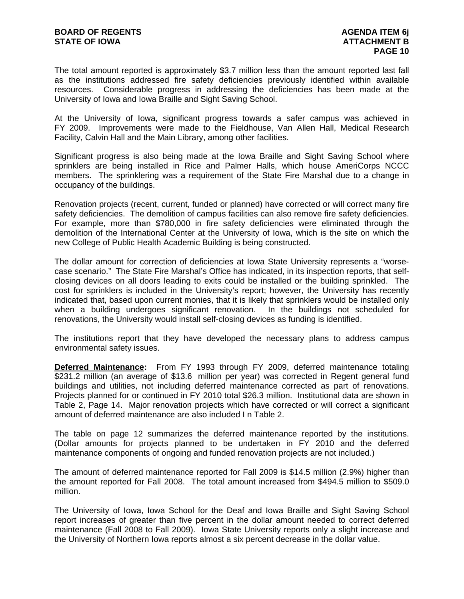The total amount reported is approximately \$3.7 million less than the amount reported last fall as the institutions addressed fire safety deficiencies previously identified within available resources. Considerable progress in addressing the deficiencies has been made at the University of Iowa and Iowa Braille and Sight Saving School.

At the University of Iowa, significant progress towards a safer campus was achieved in FY 2009. Improvements were made to the Fieldhouse, Van Allen Hall, Medical Research Facility, Calvin Hall and the Main Library, among other facilities.

Significant progress is also being made at the Iowa Braille and Sight Saving School where sprinklers are being installed in Rice and Palmer Halls, which house AmeriCorps NCCC members. The sprinklering was a requirement of the State Fire Marshal due to a change in occupancy of the buildings.

Renovation projects (recent, current, funded or planned) have corrected or will correct many fire safety deficiencies. The demolition of campus facilities can also remove fire safety deficiencies. For example, more than \$780,000 in fire safety deficiencies were eliminated through the demolition of the International Center at the University of Iowa, which is the site on which the new College of Public Health Academic Building is being constructed.

The dollar amount for correction of deficiencies at Iowa State University represents a "worsecase scenario." The State Fire Marshal's Office has indicated, in its inspection reports, that selfclosing devices on all doors leading to exits could be installed or the building sprinkled. The cost for sprinklers is included in the University's report; however, the University has recently indicated that, based upon current monies, that it is likely that sprinklers would be installed only when a building undergoes significant renovation. In the buildings not scheduled for renovations, the University would install self-closing devices as funding is identified.

The institutions report that they have developed the necessary plans to address campus environmental safety issues.

**Deferred Maintenance:** From FY 1993 through FY 2009, deferred maintenance totaling \$231.2 million (an average of \$13.6 million per year) was corrected in Regent general fund buildings and utilities, not including deferred maintenance corrected as part of renovations. Projects planned for or continued in FY 2010 total \$26.3 million. Institutional data are shown in Table 2, Page 14. Major renovation projects which have corrected or will correct a significant amount of deferred maintenance are also included I n Table 2.

The table on page 12 summarizes the deferred maintenance reported by the institutions. (Dollar amounts for projects planned to be undertaken in FY 2010 and the deferred maintenance components of ongoing and funded renovation projects are not included.)

The amount of deferred maintenance reported for Fall 2009 is \$14.5 million (2.9%) higher than the amount reported for Fall 2008. The total amount increased from \$494.5 million to \$509.0 million.

The University of Iowa, Iowa School for the Deaf and Iowa Braille and Sight Saving School report increases of greater than five percent in the dollar amount needed to correct deferred maintenance (Fall 2008 to Fall 2009). Iowa State University reports only a slight increase and the University of Northern Iowa reports almost a six percent decrease in the dollar value.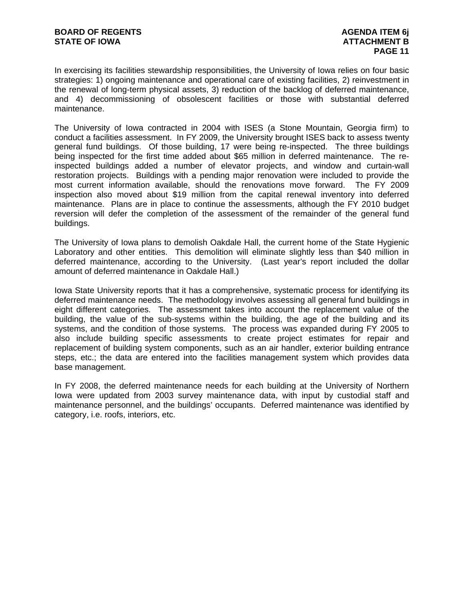In exercising its facilities stewardship responsibilities, the University of Iowa relies on four basic strategies: 1) ongoing maintenance and operational care of existing facilities, 2) reinvestment in the renewal of long-term physical assets, 3) reduction of the backlog of deferred maintenance, and 4) decommissioning of obsolescent facilities or those with substantial deferred maintenance.

The University of Iowa contracted in 2004 with ISES (a Stone Mountain, Georgia firm) to conduct a facilities assessment. In FY 2009, the University brought ISES back to assess twenty general fund buildings. Of those building, 17 were being re-inspected. The three buildings being inspected for the first time added about \$65 million in deferred maintenance. The reinspected buildings added a number of elevator projects, and window and curtain-wall restoration projects. Buildings with a pending major renovation were included to provide the most current information available, should the renovations move forward. The FY 2009 inspection also moved about \$19 million from the capital renewal inventory into deferred maintenance. Plans are in place to continue the assessments, although the FY 2010 budget reversion will defer the completion of the assessment of the remainder of the general fund buildings.

The University of Iowa plans to demolish Oakdale Hall, the current home of the State Hygienic Laboratory and other entities. This demolition will eliminate slightly less than \$40 million in deferred maintenance, according to the University. (Last year's report included the dollar amount of deferred maintenance in Oakdale Hall.)

Iowa State University reports that it has a comprehensive, systematic process for identifying its deferred maintenance needs. The methodology involves assessing all general fund buildings in eight different categories. The assessment takes into account the replacement value of the building, the value of the sub-systems within the building, the age of the building and its systems, and the condition of those systems. The process was expanded during FY 2005 to also include building specific assessments to create project estimates for repair and replacement of building system components, such as an air handler, exterior building entrance steps, etc.; the data are entered into the facilities management system which provides data base management.

In FY 2008, the deferred maintenance needs for each building at the University of Northern Iowa were updated from 2003 survey maintenance data, with input by custodial staff and maintenance personnel, and the buildings' occupants. Deferred maintenance was identified by category, i.e. roofs, interiors, etc.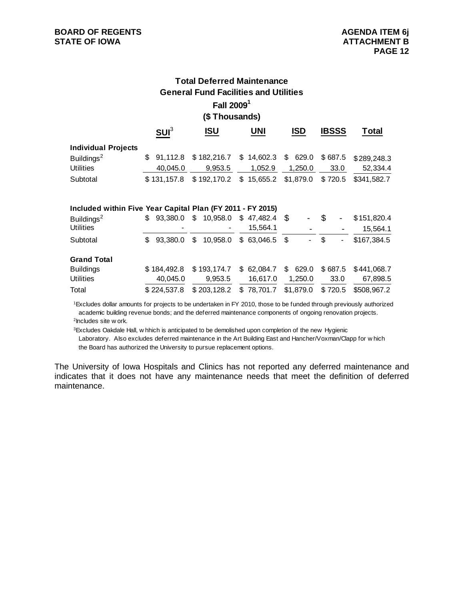### **Total Deferred Maintenance General Fund Facilities and Utilities Fall 20091 (\$ Thousands)**

|                                                            | SUI <sup>3</sup> | <b>ISU</b>     | <b>UNI</b> |      | <b>ISD</b> |     | <b>IBSSS</b> | Total       |
|------------------------------------------------------------|------------------|----------------|------------|------|------------|-----|--------------|-------------|
| <b>Individual Projects</b>                                 |                  |                |            |      |            |     |              |             |
| Buildings <sup>2</sup>                                     | \$<br>91.112.8   | \$182,216.7    | \$14,602.3 |      | \$629.0    |     | \$687.5      | \$289,248.3 |
| <b>Utilities</b>                                           | 40.045.0         | 9,953.5        | 1,052.9    |      | 1,250.0    |     | 33.0         | 52,334.4    |
| Subtotal                                                   | \$131,157.8      | \$192,170.2    | \$15,655.2 |      | \$1,879.0  |     | \$720.5      | \$341,582.7 |
| Included within Five Year Capital Plan (FY 2011 - FY 2015) |                  |                |            |      |            |     |              |             |
| Buildings <sup>2</sup>                                     | \$93,380.0       | \$10,958.0     | \$47,482.4 | - \$ |            | \$  |              | \$151,820.4 |
| <b>Utilities</b>                                           |                  |                | 15,564.1   |      |            |     |              | 15,564.1    |
| Subtotal                                                   | \$<br>93.380.0   | \$<br>10,958.0 | \$63,046.5 | -\$  |            | \$. |              | \$167,384.5 |
| <b>Grand Total</b>                                         |                  |                |            |      |            |     |              |             |
| <b>Buildings</b>                                           | \$184,492.8      | \$193,174.7    | \$62,084.7 |      | \$629.0    |     | \$687.5      | \$441,068.7 |
| <b>Utilities</b>                                           | 40,045.0         | 9,953.5        | 16,617.0   |      | 1,250.0    |     | 33.0         | 67,898.5    |
| Total                                                      | \$224,537.8      | \$203,128.2    | \$78,701.7 |      | \$1,879.0  |     | \$720.5      | \$508,967.2 |

 1Excludes dollar amounts for projects to be undertaken in FY 2010, those to be funded through previously authorized 2Includes site w ork. academic building revenue bonds; and the deferred maintenance components of ongoing renovation projects.

<sup>3</sup>Excludes Oakdale Hall, w hhich is anticipated to be demolished upon completion of the new Hygienic

 Laboratory. Also excludes deferred maintenance in the Art Building East and Hancher/Voxman/Clapp for w hich the Board has authorized the University to pursue replacement options.

The University of Iowa Hospitals and Clinics has not reported any deferred maintenance and indicates that it does not have any maintenance needs that meet the definition of deferred maintenance.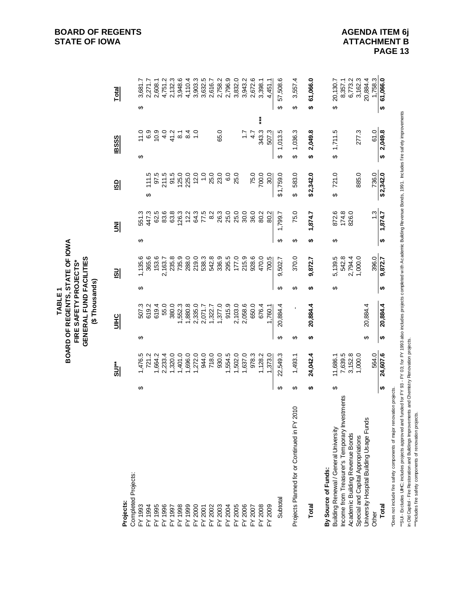|                                                                                                                                                                                                                                                                                                                                                                                        |   |                     |   | GENERAL FUND FACILITIES<br>FIRE SAFETY PROJECTS*<br>(\$Thousands) |   |                        |   |                |                        |                 |                     |  |
|----------------------------------------------------------------------------------------------------------------------------------------------------------------------------------------------------------------------------------------------------------------------------------------------------------------------------------------------------------------------------------------|---|---------------------|---|-------------------------------------------------------------------|---|------------------------|---|----------------|------------------------|-----------------|---------------------|--|
| <b>Projects:</b>                                                                                                                                                                                                                                                                                                                                                                       |   | <b>SUI</b> **       |   | <b>UIHC</b>                                                       |   | $\overline{\text{SD}}$ |   | 킭              | $\overline{\text{SD}}$ | <b>IBSSS</b>    | <b>Total</b>        |  |
| Completed Projects:                                                                                                                                                                                                                                                                                                                                                                    |   |                     |   |                                                                   |   |                        |   |                |                        |                 |                     |  |
| FY 1993                                                                                                                                                                                                                                                                                                                                                                                | ↮ | 1,476.5             | ക | 507.3                                                             | ↔ | 1,135.6                | ↮ | 551.3          |                        | 11.0<br>↮       | 3,681.7<br>↮        |  |
| FY 1994                                                                                                                                                                                                                                                                                                                                                                                |   | 721.2               |   | 619.2                                                             |   | 365.6                  |   | 447.3          | 111.5<br>↮             | 6.9             | 2,271.7             |  |
| FY 1995                                                                                                                                                                                                                                                                                                                                                                                |   | 1,664.2             |   | 619.4                                                             |   | 153.6                  |   | 62.5           | 97.5                   | 10.9            | 2,608.1             |  |
| FY 1996                                                                                                                                                                                                                                                                                                                                                                                |   | 2,233.4             |   | 55.0                                                              |   | 2,163.7                |   | 83.6           | 211.5                  | 4.0             | 4,751.2             |  |
|                                                                                                                                                                                                                                                                                                                                                                                        |   | 1,320.0             |   | 380.0                                                             |   | 235.8                  |   | 63.8           | 91.5                   | 41.2            | 2,132.3             |  |
|                                                                                                                                                                                                                                                                                                                                                                                        |   | 1,401.0             |   | 1,552.3                                                           |   | 735.9                  |   | 126.3          | 125.0                  | $\overline{8}$  | 3,948.6             |  |
|                                                                                                                                                                                                                                                                                                                                                                                        |   | 1,696.0             |   | 1,880.8                                                           |   | 288.0                  |   | 12.2           | 225.0                  | $\frac{84}{10}$ | 4,110.4             |  |
|                                                                                                                                                                                                                                                                                                                                                                                        |   | 1,272.0             |   | 2,335.0                                                           |   | 219.0                  |   | 64.3           | 12.0                   |                 | 3,903.3             |  |
|                                                                                                                                                                                                                                                                                                                                                                                        |   | 944.0               |   | 2,071.7                                                           |   | 538.3                  |   | 77.5           | $\frac{0}{1}$          |                 | 3,632.5             |  |
|                                                                                                                                                                                                                                                                                                                                                                                        |   | 718.0               |   | 1,322.7                                                           |   | 542.8                  |   | 8.2            | 25.0                   |                 | 2,616.7             |  |
|                                                                                                                                                                                                                                                                                                                                                                                        |   | 930.0               |   | 1,377.0                                                           |   | 336.9                  |   | 26.3           | 23.0                   | 65.0            | 2,758.2             |  |
|                                                                                                                                                                                                                                                                                                                                                                                        |   | 1,554.5             |   | 915.9                                                             |   | 295.5                  |   | 25.0           | 6.0                    |                 | 2,796.9             |  |
|                                                                                                                                                                                                                                                                                                                                                                                        |   | 1,502.0             |   | 2,103.0                                                           |   | 177.0                  |   | 25.0           | 25.0                   |                 | 3,832.0             |  |
| 7998<br>1998 2007<br>1998 2008 2008 2009<br>1998 2008 2008 2007<br>10208 2009 2007<br>10208 2007                                                                                                                                                                                                                                                                                       |   | 1,637.0             |   | 2,058.6                                                           |   | 215.9                  |   | 30.0           |                        | $\ddot{ }$ :7   | 3,943.2             |  |
|                                                                                                                                                                                                                                                                                                                                                                                        |   | 978.3               |   | 650.0                                                             |   | 928.6                  |   | 36.0           | 75.0                   | 4.7             | 2,672.6             |  |
| FY 2008                                                                                                                                                                                                                                                                                                                                                                                |   | 1,128.2             |   | 676.4                                                             |   | 470.0                  |   | 80.2           | 700.0                  | 343.3           | 3,398.1<br>$***$    |  |
| FY 2009                                                                                                                                                                                                                                                                                                                                                                                |   | 1,373.0             |   | 1,760.1                                                           |   | 700.5                  |   | 80.2           | 30.0                   | 507.3           | 4,451.1             |  |
| Subtotal                                                                                                                                                                                                                                                                                                                                                                               | ↮ | 22,549.3            | ↮ | 20,884.4                                                          | ↮ | 9,502.7                | ↮ | 1,99.7         | \$1,759.0              | 1,013.5<br>↔    | 57,508.6<br>↮       |  |
| $\circ$<br>Projects Planned for or Continued in FY 201                                                                                                                                                                                                                                                                                                                                 | ↮ | 1,493.1             | ↮ | ı                                                                 | ↮ | 370.0                  | ↮ | 75.0           | 583.0<br>↔             | 1,036.3<br>↔    | 3,557.4<br>↮        |  |
| Total                                                                                                                                                                                                                                                                                                                                                                                  | ↮ | 24,042.4            | ↮ | 20,884.4                                                          | ↮ | 9,872.7                | ↮ | 1,874.7        | \$2,342.0              | 2,049.8<br>မာ   | 61,066.0<br>မာ      |  |
| Income from Treasurer's Temporary Investments<br>Building Renewal / General University<br>By Source of Funds:                                                                                                                                                                                                                                                                          | ↮ | 7,639.5<br>11,686.1 |   |                                                                   | ↮ | 5,139.5<br>542.8       | ↮ | 872.6<br>174.8 | 721.0<br>↮             | 1,711.5<br>↮    | 20,130.7<br>↔       |  |
| Academic Building Revenue Bonds                                                                                                                                                                                                                                                                                                                                                        |   | 3,152.8             |   |                                                                   |   | 2,794.4                |   | 826.0          |                        |                 | 8,357.1<br>6,773.2  |  |
| University Hospital Building Usage Funds<br>Special and Capital Appropriations                                                                                                                                                                                                                                                                                                         |   | 1,000.0             | ↮ | 20,884.4                                                          |   | 1,000.0                |   |                | 885.0                  | 277.3           | 20,884.4<br>3,162.3 |  |
| Other                                                                                                                                                                                                                                                                                                                                                                                  |   | 564.0               |   |                                                                   |   | 396.0                  |   | $\frac{3}{2}$  | 736.0                  | 61.0            | 1,758.3             |  |
| Total                                                                                                                                                                                                                                                                                                                                                                                  | ↮ | 24,607.6            | ↮ | 20,884.4                                                          | ↮ | 9,872.7                | ↮ | 1,874.7        | \$2,342.0              | \$2,049.8       | 61,066.0<br>€       |  |
| "Sul - Excludes UIHC, includes projects approved and funded for FY 93 - FY 03; for FY 1993 also includes projects completed with Academic Building Revenue Bonds, 1991. Includes fire safety improvements<br>in Old Capitol - Fire Restoration and Buildings Improvements and Chemistry Renovation projects.<br>*Does not include fire safety components of major renovation projects. |   |                     |   |                                                                   |   |                        |   |                |                        |                 |                     |  |
|                                                                                                                                                                                                                                                                                                                                                                                        |   |                     |   |                                                                   |   |                        |   |                |                        |                 |                     |  |

**BOARD OF REGENTS, STATE OF IOWA<br>FIRE SAFETY PROJECTS\***<br>GENERAL FUND FACILITIES<br>(\$ Thousands) **BOARD OF REGENTS, STATE OF IOWA**TABLE<sub>1</sub> **TABLE 1**

 **PAGE 13**

\*\*\*Includes fire safety components of renovation projects.